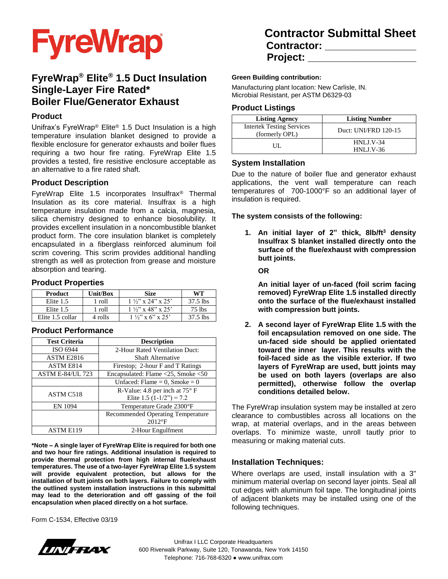

# **FyreWrap® Elite® 1.5 Duct Insulation Single-Layer Fire Rated\* Boiler Flue/Generator Exhaust**

#### **Product**

Unifrax's FyreWrap® Elite® 1.5 Duct Insulation is a high temperature insulation blanket designed to provide a flexible enclosure for generator exhausts and boiler flues requiring a two hour fire rating. FyreWrap Elite 1.5 provides a tested, fire resistive enclosure acceptable as an alternative to a fire rated shaft.

#### **Product Description**

FyreWrap Elite 1.5 incorporates Insulfrax® Thermal Insulation as its core material. Insulfrax is a high temperature insulation made from a calcia, magnesia, silica chemistry designed to enhance biosolubility. It provides excellent insulation in a noncombustible blanket product form. The core insulation blanket is completely encapsulated in a fiberglass reinforced aluminum foil scrim covering. This scrim provides additional handling strength as well as protection from grease and moisture absorption and tearing.

#### **Product Properties**

| <b>Product</b>   | <b>Unit/Box</b> | <b>Size</b>                | WT         |
|------------------|-----------------|----------------------------|------------|
| Elite 1.5        | $1$ roll        | $1\frac{1}{2}$ x 24" x 25' | 37.5 lbs   |
| Elite 1.5        | 1 roll          | $1\frac{1}{2}$ x 48" x 25" | 75 lbs     |
| Elite 1.5 collar | 4 rolls         | $1\frac{1}{2}$ x 6" x 25"  | $37.5$ lbs |

#### **Product Performance**

| <b>Test Criteria</b>    | <b>Description</b>                                                    |  |  |
|-------------------------|-----------------------------------------------------------------------|--|--|
| ISO 6944                | 2-Hour Rated Ventilation Duct:                                        |  |  |
| ASTM E2816              | Shaft Alternative                                                     |  |  |
| ASTM E814               | Firestop; 2-hour F and T Ratings                                      |  |  |
| <b>ASTM E-84/UL 723</b> | Encapsulated: Flame <25, Smoke <50                                    |  |  |
|                         | Unfaced: Flame = $0$ , Smoke = $0$                                    |  |  |
| ASTM C518               | R-Value: 4.8 per inch at $75^{\circ}$ F<br>Elite 1.5 $(1-1/2") = 7.2$ |  |  |
| EN 1094                 | Temperature Grade 2300°F                                              |  |  |
|                         | Recommended Operating Temperature                                     |  |  |
|                         | $2012$ °F                                                             |  |  |
| <b>ASTM E119</b>        | 2-Hour Engulfment                                                     |  |  |

**\*Note – A single layer of FyreWrap Elite is required for both one and two hour fire ratings. Additional insulation is required to provide thermal protection from high internal flue/exhaust temperatures. The use of a two-layer FyreWrap Elite 1.5 system will provide equivalent protection, but allows for the installation of butt joints on both layers. Failure to comply with the outlined system installation instructions in this submittal may lead to the deterioration and off gassing of the foil encapsulation when placed directly on a hot surface.**

Form C-1534, Effective 03/19

# **Contractor Submittal Sheet Contractor: \_\_\_\_\_\_\_\_\_\_\_\_\_\_\_\_ Project: \_\_\_\_\_\_\_\_\_\_\_\_\_\_\_\_\_\_\_**

#### **Green Building contribution:**

Manufacturing plant location: New Carlisle, IN. Microbial Resistant, per ASTM D6329-03

#### **Product Listings**

| <b>Listing Agency</b>                              | <b>Listing Number</b> |  |
|----------------------------------------------------|-----------------------|--|
| <b>Intertek Testing Services</b><br>(formerly OPL) | Duct: UNI/FRD 120-15  |  |
| UТ.                                                | $HNI.J.V-34$          |  |
|                                                    | $HNI.J.V-36$          |  |

### **System Installation**

Due to the nature of boiler flue and generator exhaust applications, the vent wall temperature can reach temperatures of 700-1000°F so an additional layer of insulation is required.

**The system consists of the following:**

**1. An initial layer of 2" thick, 8lb/ft<sup>3</sup> density Insulfrax S blanket installed directly onto the surface of the flue/exhaust with compression butt joints.**

**OR**

**An initial layer of un-faced (foil scrim facing removed) FyreWrap Elite 1.5 installed directly onto the surface of the flue/exhaust installed with compression butt joints.**

**2. A second layer of FyreWrap Elite 1.5 with the foil encapsulation removed on one side. The un-faced side should be applied orientated toward the inner layer. This results with the foil-faced side as the visible exterior. If two layers of FyreWrap are used, butt joints may be used on both layers (overlaps are also permitted), otherwise follow the overlap conditions detailed below.**

The FyreWrap insulation system may be installed at zero clearance to combustibles across all locations on the wrap, at material overlaps, and in the areas between overlaps. To minimize waste, unroll tautly prior to measuring or making material cuts.

#### **Installation Techniques:**

Where overlaps are used, install insulation with a 3" minimum material overlap on second layer joints. Seal all cut edges with aluminum foil tape. The longitudinal joints of adjacent blankets may be installed using one of the following techniques.